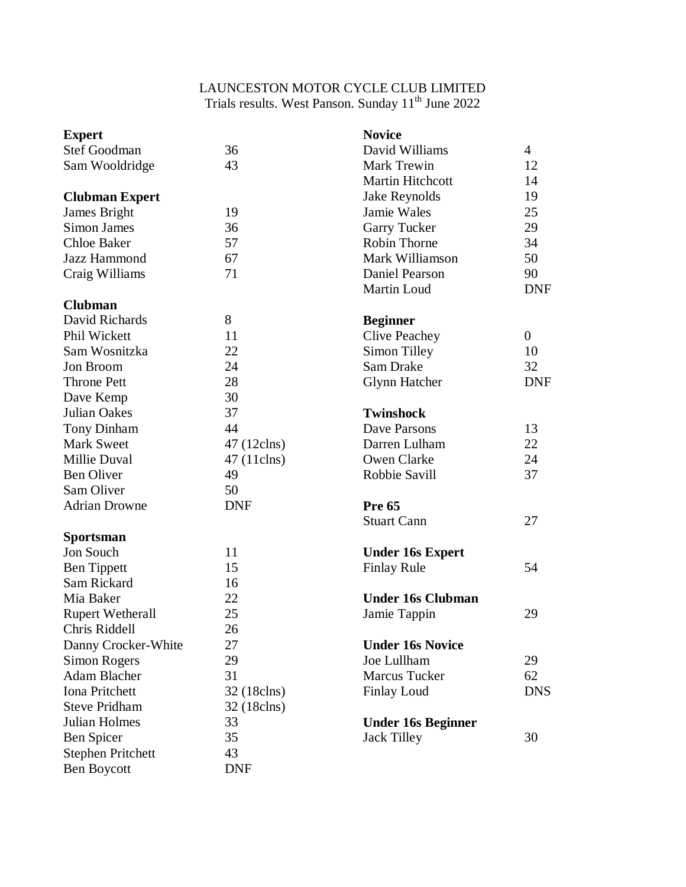## LAUNCESTON MOTOR CYCLE CLUB LIMITED Trials results. West Panson. Sunday 11<sup>th</sup> June 2022

| <b>Expert</b>            |             | <b>Novice</b>             |                |
|--------------------------|-------------|---------------------------|----------------|
| Stef Goodman             | 36          | David Williams            | $\overline{4}$ |
| Sam Wooldridge           | 43          | Mark Trewin               | 12             |
|                          |             | <b>Martin Hitchcott</b>   | 14             |
| <b>Clubman Expert</b>    |             | Jake Reynolds             | 19             |
| James Bright             | 19          | Jamie Wales               | 25             |
| Simon James              | 36          | <b>Garry Tucker</b>       | 29             |
| <b>Chloe Baker</b>       | 57          | Robin Thorne              | 34             |
| Jazz Hammond             | 67          | Mark Williamson           | 50             |
| Craig Williams           | 71          | Daniel Pearson            | 90             |
|                          |             | <b>Martin Loud</b>        | <b>DNF</b>     |
| <b>Clubman</b>           |             |                           |                |
| David Richards           | 8           | <b>Beginner</b>           |                |
| Phil Wickett             | 11          | <b>Clive Peachey</b>      | $\overline{0}$ |
| Sam Wosnitzka            | 22          | Simon Tilley              | 10             |
| Jon Broom                | 24          | Sam Drake                 | 32             |
| <b>Throne Pett</b>       | 28          | <b>Glynn Hatcher</b>      | <b>DNF</b>     |
| Dave Kemp                | 30          |                           |                |
| <b>Julian Oakes</b>      | 37          | <b>Twinshock</b>          |                |
| <b>Tony Dinham</b>       | 44          | Dave Parsons              | 13             |
| <b>Mark Sweet</b>        | 47 (12clns) | Darren Lulham             | 22             |
| Millie Duval             | 47 (11clns) | Owen Clarke               | 24             |
| <b>Ben Oliver</b>        | 49          | Robbie Savill             | 37             |
| Sam Oliver               | 50          |                           |                |
| <b>Adrian Drowne</b>     | <b>DNF</b>  | <b>Pre 65</b>             |                |
|                          |             | <b>Stuart Cann</b>        | 27             |
| <b>Sportsman</b>         |             |                           |                |
| Jon Souch                | 11          | <b>Under 16s Expert</b>   |                |
| <b>Ben Tippett</b>       | 15          | <b>Finlay Rule</b>        | 54             |
| Sam Rickard              | 16          |                           |                |
| Mia Baker                | 22          | <b>Under 16s Clubman</b>  |                |
| <b>Rupert Wetherall</b>  | 25          | Jamie Tappin              | 29             |
| Chris Riddell            | 26          |                           |                |
| Danny Crocker-White      | 27          | <b>Under 16s Novice</b>   |                |
| Simon Rogers             | 29          | Joe Lullham               | 29             |
| <b>Adam Blacher</b>      | 31          | <b>Marcus Tucker</b>      | 62             |
| Iona Pritchett           | 32 (18clns) | <b>Finlay Loud</b>        | <b>DNS</b>     |
| <b>Steve Pridham</b>     | 32 (18clns) |                           |                |
| Julian Holmes            | 33          | <b>Under 16s Beginner</b> |                |
| Ben Spicer               | 35          | <b>Jack Tilley</b>        | 30             |
| <b>Stephen Pritchett</b> | 43          |                           |                |
| <b>Ben Boycott</b>       | <b>DNF</b>  |                           |                |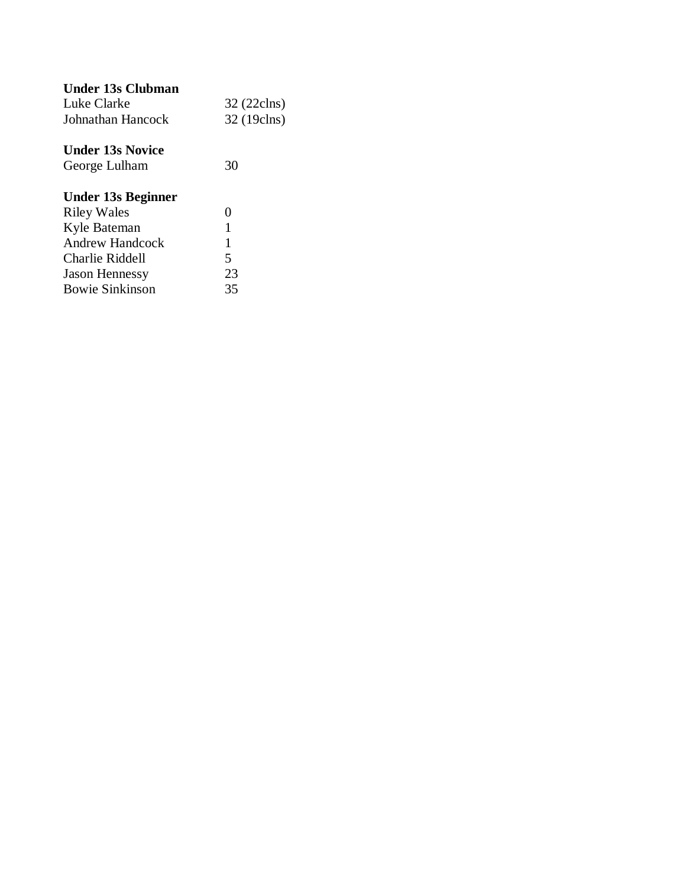| Under 13s Clubman       |             |
|-------------------------|-------------|
| Luke Clarke             | 32 (22clns) |
| Johnathan Hancock       | 32 (19clns) |
| <b>Under 13s Novice</b> |             |
| George Lulham           | 30          |
| Under 13s Beginner      |             |
| <b>Riley Wales</b>      | 0           |
| Kyle Bateman            | 1           |
| <b>Andrew Handcock</b>  | 1           |
| Charlie Riddell         | 5           |
| <b>Jason Hennessy</b>   | 23          |
| <b>Bowie Sinkinson</b>  | 35          |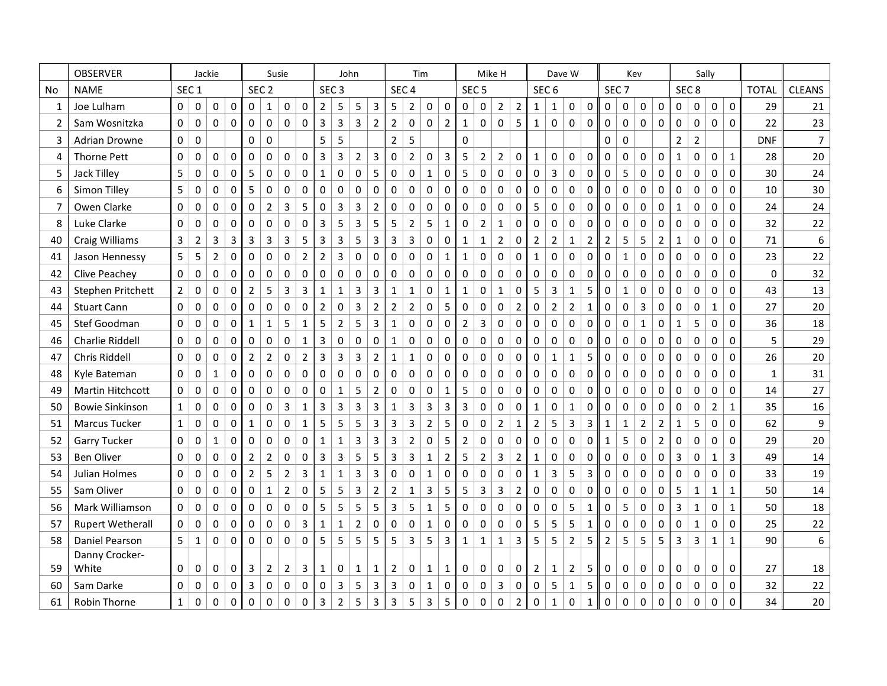|    | <b>OBSERVER</b>         | Jackie           |                         |                |                     | Susie               |                  |                |                         | John             |                |                |                | Tim              |                  |                |                |                  | Mike H         |                |                  |                |                  | Dave W         |                |                  | Kev          |                |                |                |                  | Sally          |              |              |                |
|----|-------------------------|------------------|-------------------------|----------------|---------------------|---------------------|------------------|----------------|-------------------------|------------------|----------------|----------------|----------------|------------------|------------------|----------------|----------------|------------------|----------------|----------------|------------------|----------------|------------------|----------------|----------------|------------------|--------------|----------------|----------------|----------------|------------------|----------------|--------------|--------------|----------------|
| No | <b>NAME</b>             | SEC <sub>1</sub> |                         |                |                     |                     | SEC <sub>2</sub> |                |                         | SEC <sub>3</sub> |                |                |                |                  | SEC <sub>4</sub> |                |                | SEC <sub>5</sub> |                |                |                  |                | SEC <sub>6</sub> |                |                | SEC <sub>7</sub> |              |                |                |                | SEC <sub>8</sub> |                |              | <b>TOTAL</b> | <b>CLEANS</b>  |
| 1  | Joe Lulham              | 0                | 0                       | $\pmb{0}$      | $\mathsf{O}\xspace$ | 0                   | 1                | 0              | $\mathsf{O}\xspace$     | $\overline{2}$   | 5              | 5              | 3              | 5                | $\overline{2}$   | 0              | $\pmb{0}$      | 0                | $\pmb{0}$      | $\overline{2}$ | $\mathbf 2$      | $\mathbf{1}$   | 1                | $\pmb{0}$      | $\mathbf 0$    | 0                | 0            | $\pmb{0}$      | $\mathbf 0$    | 0              | 0                | $\mathbf 0$    | $\mathbf 0$  | 29           | 21             |
| 2  | Sam Wosnitzka           | 0                | 0                       | $\mathbf 0$    | 0                   | 0                   | $\mathbf 0$      | 0              | 0                       | 3                | $\mathsf 3$    | 3              | $\overline{2}$ | $\overline{2}$   | $\mathbf 0$      | 0              | $\overline{2}$ | $\mathbf{1}$     | $\mathbf 0$    | 0              | 5                | 1              | 0                | 0              | 0              | $\mathbf 0$      | 0            | $\mathbf 0$    | $\mathbf 0$    | $\mathbf 0$    | 0                | 0              | $\mathbf{0}$ | 22           | 23             |
| 3  | <b>Adrian Drowne</b>    | 0                | 0                       |                |                     | 0                   | $\mathsf 0$      |                |                         | 5                | 5              |                |                | $\mathbf 2$      | 5                |                |                | $\mathbf 0$      |                |                |                  |                |                  |                |                | 0                | 0            |                |                | $\overline{2}$ | $\mathbf 2$      |                |              | <b>DNF</b>   | $\overline{7}$ |
| 4  | <b>Thorne Pett</b>      | 0                | $\pmb{0}$               | $\pmb{0}$      | 0                   | 0                   | $\pmb{0}$        | 0              | $\mathsf{O}\xspace$     | 3                | $\mathsf 3$    | $\mathbf 2$    | $\mathsf 3$    | $\boldsymbol{0}$ | $\mathbf 2$      | 0              | 3              | 5                | $\mathbf 2$    | $\overline{2}$ | $\mathbf 0$      | $\mathbf 1$    | $\pmb{0}$        | 0              | 0              | 0                | $\pmb{0}$    | $\pmb{0}$      | $\mathbf 0$    | $\mathbf 1$    | 0                | $\mathbf 0$    | $\mathbf 1$  | 28           | 20             |
| 5  | Jack Tilley             | 5                | 0                       | 0              | $\mathbf 0$         | 5                   | $\mathbf 0$      | 0              | 0                       | $\mathbf{1}$     | 0              | 0              | 5              | $\mathbf 0$      | $\mathbf 0$      | $\mathbf{1}$   | 0              | 5                | 0              | 0              | $\mathbf 0$      | 0              | 3                | 0              | 0              | 0                | 5            | $\pmb{0}$      | $\mathbf 0$    | 0              | 0                | $\mathbf 0$    | $\mathbf{0}$ | 30           | 24             |
| 6  | Simon Tilley            | 5                | 0                       | $\mathbf 0$    | 0                   | 5                   | $\mathbf 0$      | 0              | 0                       | 0                | $\mathbf 0$    | 0              | $\Omega$       | $\mathbf 0$      | 0                | 0              | 0              | $\Omega$         | 0              | 0              | $\Omega$         | 0              | $\mathbf 0$      | 0              | 0              | $\mathbf 0$      | 0            | 0              | $\mathbf 0$    | 0              | 0                | $\mathbf{0}$   | $\mathbf{0}$ | 10           | 30             |
| 7  | Owen Clarke             | 0                | 0                       | $\Omega$       | $\Omega$            | $\Omega$            | $\overline{2}$   | 3              | 5                       | 0                | 3              | 3              | $\overline{2}$ | $\mathbf 0$      | $\Omega$         | 0              | $\Omega$       | $\Omega$         | 0              | $\Omega$       | $\mathbf{0}$     | 5              | 0                | 0              | $\Omega$       | $\Omega$         | 0            | $\mathbf 0$    | $\mathbf{0}$   | 1              | 0                | $\Omega$       | $\mathbf{0}$ | 24           | 24             |
| 8  | Luke Clarke             | 0                | $\pmb{0}$               | $\pmb{0}$      | $\pmb{0}$           | 0                   | $\pmb{0}$        | 0              | $\pmb{0}$               | 3                | 5              | $\mathsf{3}$   | 5              | 5                | $\overline{2}$   | 5              | $\mathbf 1$    | $\pmb{0}$        | $\overline{2}$ | $\mathbf{1}$   | $\pmb{0}$        | $\pmb{0}$      | $\pmb{0}$        | $\pmb{0}$      | 0              | $\pmb{0}$        | $\pmb{0}$    | $\pmb{0}$      | $\pmb{0}$      | $\pmb{0}$      | 0                | $\pmb{0}$      | $\mathbf 0$  | 32           | 22             |
| 40 | <b>Craig Williams</b>   | 3                | $\overline{\mathbf{c}}$ | $\overline{3}$ | 3                   | 3                   | $\overline{3}$   | 3              | 5                       | 3                | 3              | 5              | 3              | 3                | $\overline{3}$   | 0              | 0              | $\mathbf{1}$     | $\mathbf{1}$   | $\overline{2}$ | $\mathbf 0$      | $\overline{2}$ | $\overline{2}$   | $\mathbf{1}$   | $\overline{2}$ | $\overline{2}$   | 5            | 5              | $\overline{2}$ | 1              | 0                | 0              | $\mathbf 0$  | 71           | 6              |
| 41 | Jason Hennessy          | 5                | 5                       | $\overline{2}$ | $\mathbf 0$         | 0                   | $\mathbf 0$      | 0              | $\overline{2}$          | $\overline{2}$   | 3              | $\pmb{0}$      | $\mathbf 0$    | $\mathbf 0$      | $\mathbf 0$      | 0              | $\mathbf 1$    | $\mathbf{1}$     | 0              | 0              | $\mathbf 0$      | $\mathbf{1}$   | $\pmb{0}$        | $\mathbf 0$    | 0              | $\mathbf 0$      | $\mathbf{1}$ | 0              | 0              | $\mathbf 0$    | 0                | $\mathbf 0$    | $\mathbf{0}$ | 23           | 22             |
| 42 | Clive Peachey           | 0                | $\pmb{0}$               | $\mathbf 0$    | 0                   | 0                   | $\mathbf 0$      | 0              | $\pmb{0}$               | $\pmb{0}$        | $\pmb{0}$      | $\pmb{0}$      | $\mathbf 0$    | $\mathbf 0$      | 0                | 0              | 0              | $\mathbf 0$      | $\pmb{0}$      | 0              | $\mathbf 0$      | $\pmb{0}$      | 0                | 0              | 0              | $\mathbf 0$      | $\pmb{0}$    | $\pmb{0}$      | $\mathbf 0$    | 0              | 0                | $\mathbf 0$    | $\mathbf 0$  | $\Omega$     | 32             |
| 43 | Stephen Pritchett       | $\overline{2}$   | 0                       | 0              | $\mathbf 0$         | $\overline{2}$      | 5                | 3              | $\overline{3}$          | $\mathbf 1$      | $\mathbf{1}$   | 3              | 3              | $\mathbf 1$      | $\mathbf{1}$     | 0              | $\mathbf 1$    | $\mathbf{1}$     | 0              | $\mathbf{1}$   | $\mathbf 0$      | 5              | $\mathsf{3}$     | $\mathbf{1}$   | 5              | 0                | $\mathbf{1}$ | 0              | $\mathbf 0$    | $\pmb{0}$      | 0                | $\mathbf 0$    | $\mathbf 0$  | 43           | 13             |
| 44 | <b>Stuart Cann</b>      | 0                | $\mathbf 0$             | 0              | 0                   | 0                   | $\mathbf 0$      | 0              | $\mathbf 0$             | $\overline{2}$   | 0              | 3              | $\overline{2}$ | $\overline{2}$   | $\overline{2}$   | 0              | 5              | $\Omega$         | 0              | 0              | $\overline{2}$   | 0              | $\overline{2}$   | $\overline{2}$ | $\mathbf{1}$   | $\mathbf 0$      | 0            | 3              | $\mathbf 0$    | $\mathbf 0$    | 0                | $\mathbf{1}$   | 0            | 27           | 20             |
| 45 | Stef Goodman            | 0                | 0                       | 0              | 0                   | $\mathbf{1}$        | $\mathbf{1}$     | 5              | $\mathbf{1}$            | 5                | $\overline{2}$ | 5              | 3              | 1                | $\mathbf 0$      | 0              | $\mathbf 0$    | $\overline{2}$   | 3              | 0              | $\Omega$         | 0              | 0                | 0              | 0              | $\Omega$         | 0            | $\mathbf{1}$   | $\mathbf 0$    | $\mathbf{1}$   | 5                | 0              | $\mathbf{0}$ | 36           | 18             |
| 46 | Charlie Riddell         | 0                | $\pmb{0}$               | $\mathbf 0$    | $\pmb{0}$           | $\pmb{0}$           | $\mathsf 0$      | 0              | $\mathbf 1$             | 3                | $\pmb{0}$      | $\pmb{0}$      | $\pmb{0}$      | $1\,$            | $\pmb{0}$        | 0              | $\pmb{0}$      | $\pmb{0}$        | 0              | $\pmb{0}$      | 0                | $\pmb{0}$      | $\pmb{0}$        | 0              | 0              | 0                | $\pmb{0}$    | $\pmb{0}$      | $\pmb{0}$      | $\pmb{0}$      | 0                | $\pmb{0}$      | 0            | 5            | 29             |
| 47 | Chris Riddell           | 0                | $\mathbf 0$             | $\mathbf 0$    | $\mathbf 0$         | $\overline{2}$      | $\overline{2}$   | 0              | $\overline{2}$          | 3                | 3              | 3              | $\overline{2}$ | 1                | $\mathbf 1$      | 0              | 0              | 0                | 0              | 0              | $\mathbf 0$      | 0              | $\mathbf{1}$     | $\mathbf{1}$   | 5              | 0                | 0            | $\pmb{0}$      | $\mathbf 0$    | 0              | 0                | 0              | 0            | 26           | 20             |
| 48 | Kyle Bateman            | 0                | $\mathbf 0$             | $\mathbf{1}$   | 0                   | 0                   | $\mathbf 0$      | 0              | $\pmb{0}$               | 0                | $\pmb{0}$      | $\mathbf 0$    | $\mathbf 0$    | $\mathbf 0$      | $\pmb{0}$        | 0              | 0              | $\mathbf 0$      | 0              | 0              | 0                | 0              | $\pmb{0}$        | $\mathbf 0$    | 0              | $\mathbf 0$      | 0            | 0              | 0              | 0              | 0                | $\mathbf 0$    | $\mathbf{0}$ | $\mathbf{1}$ | 31             |
| 49 | <b>Martin Hitchcott</b> | 0                | 0                       | 0              | 0                   | 0                   | $\pmb{0}$        | 0              | $\mathsf{O}$            | 0                | $\mathbf{1}$   | 5              | $\mathbf 2$    | $\mathbf 0$      | $\mathbf 0$      | 0              | $\mathbf 1$    | 5                | $\pmb{0}$      | 0              | $\mathbf 0$      | $\pmb{0}$      | 0                | $\mathbf 0$    | 0              | $\mathbf 0$      | 0            | $\pmb{0}$      | $\mathbf 0$    | 0              | 0                | 0              | 0            | 14           | 27             |
| 50 | <b>Bowie Sinkinson</b>  | $\mathbf{1}$     | 0                       | $\pmb{0}$      | 0                   | $\mathsf{O}\xspace$ | $\boldsymbol{0}$ | 3              | $\mathbf 1$             | 3                | 3              | 3              | $\mathsf 3$    | $\mathbf{1}$     | $\mathbf{3}$     | 3              | 3              | $\overline{3}$   | 0              | 0              | $\mathbf{0}$     | $\mathbf{1}$   | 0                | $\mathbf 1$    | 0              | 0                | 0            | $\pmb{0}$      | $\pmb{0}$      | 0              | 0                | $\overline{2}$ | $\mathbf{1}$ | 35           | 16             |
| 51 | Marcus Tucker           | $\mathbf{1}$     | $\mathbf 0$             | $\mathbf 0$    | $\mathbf{0}$        | $\mathbf{1}$        | $\mathbf 0$      | 0              | $\mathbf 1$             | 5                | 5              | 5              | 3              | 3                | $\overline{3}$   | $\overline{2}$ | 5              | $\Omega$         | 0              | $\overline{2}$ | 1                | $\overline{2}$ | 5                | 3              | 3              | $\mathbf{1}$     | $\mathbf{1}$ | $\overline{2}$ | $\overline{2}$ | $\mathbf{1}$   | 5                | $\Omega$       | $\mathbf{0}$ | 62           | 9              |
| 52 | <b>Garry Tucker</b>     | 0                | $\pmb{0}$               | $\mathbf{1}$   | 0                   | 0                   | $\mathbf 0$      | 0              | $\mathbf 0$             | $\mathbf{1}$     | 1              | 3              | 3              | 3                | $\overline{2}$   | 0              | 5              | $\overline{2}$   | $\mathsf 0$    | 0              | 0                | $\mathbf 0$    | 0                | 0              | 0              | $\mathbf{1}$     | 5            | $\pmb{0}$      | $\overline{2}$ | 0              | 0                | 0              | $\mathbf{0}$ | 29           | 20             |
| 53 | <b>Ben Oliver</b>       | 0                | $\pmb{0}$               | 0              | 0                   | $\overline{2}$      | $\overline{2}$   | 0              | $\mathbf 0$             | 3                | 3              | 5              | 5              | 3                | $\overline{3}$   | $\mathbf{1}$   | $\mathbf 2$    | 5                | $\overline{2}$ | 3              | $\overline{2}$   | $\mathbf 1$    | 0                | 0              | 0              | $\mathbf 0$      | $\pmb{0}$    | $\pmb{0}$      | $\mathbf 0$    | $\mathbf{3}$   | 0                | $\mathbf{1}$   | 3            | 49           | 14             |
| 54 | Julian Holmes           | 0                | 0                       | $\pmb{0}$      | 0                   | $\overline{2}$      | 5                | $\overline{2}$ | 3                       | $\mathbf 1$      | $\mathbf 1$    | 3              | 3              | $\mathbf 0$      | $\Omega$         | $\mathbf 1$    | 0              | $\Omega$         | 0              | $\Omega$       | $\mathbf{0}$     | $\mathbf{1}$   | 3                | 5              | 3              | 0                | 0            | $\pmb{0}$      | $\pmb{0}$      | 0              | 0                | $\Omega$       | $\mathbf{0}$ | 33           | 19             |
| 55 | Sam Oliver              | 0                | $\pmb{0}$               | $\pmb{0}$      | $\mathbf 0$         | 0                   | $\mathbf{1}$     | $\overline{2}$ | $\pmb{0}$               | 5                | 5              | $\mathsf{3}$   | $\overline{2}$ | $\overline{2}$   | $\mathbf 1$      | 3              | 5              | 5                | 3              | $\overline{3}$ | $\overline{2}$   | 0              | $\pmb{0}$        | 0              | 0              | 0                | 0            | 0              | $\mathbf 0$    | 5              | $\mathbf{1}$     | $\mathbf{1}$   | $\mathbf{1}$ | 50           | 14             |
| 56 | Mark Williamson         | 0                | $\mathbf 0$             | $\pmb{0}$      | $\pmb{0}$           | 0                   | $\pmb{0}$        | 0              | $\pmb{0}$               | 5                | 5              | 5              | 5              | $\mathsf{3}$     | 5                | $\mathbf 1$    | 5              | $\pmb{0}$        | $\pmb{0}$      | 0              | $\boldsymbol{0}$ | $\pmb{0}$      | $\pmb{0}$        | 5              | $\mathbf{1}$   | $\pmb{0}$        | 5            | $\pmb{0}$      | $\pmb{0}$      | $\overline{3}$ | 1                | $\mathbf 0$    | $\mathbf{1}$ | 50           | 18             |
| 57 | <b>Rupert Wetherall</b> | 0                | 0                       | $\mathbf 0$    | $\mathbf 0$         | 0                   | $\mathbf 0$      | 0              | $\overline{\mathbf{3}}$ | $\mathbf{1}$     | $\mathbf{1}$   | $\overline{2}$ | 0              | $\mathbf 0$      | $\mathbf 0$      | $\mathbf 1$    | 0              | $\mathbf 0$      | $\pmb{0}$      | 0              | $\mathbf 0$      | 5              | 5                | 5              | $\mathbf{1}$   | 0                | 0            | $\pmb{0}$      | $\mathbf 0$    | 0              | $\mathbf{1}$     | $\mathbf 0$    | $\mathbf 0$  | 25           | 22             |
| 58 | Daniel Pearson          | 5                | $\mathbf{1}$            | $\Omega$       | $\mathbf{0}$        | $\mathbf{0}$        | $\Omega$         | 0              | $\Omega$                | 5                | 5              | 5              | 5              | 5                | $\overline{3}$   | 5              | 3              | $\mathbf{1}$     | $\mathbf{1}$   | $\mathbf{1}$   | 3                | 5              | 5                | $\overline{2}$ | 5              | $\overline{2}$   | 5            | 5              | 5              | 3              | 3                | $\mathbf{1}$   | 1            | 90           | 6              |
| 59 | Danny Crocker-<br>White | 0                | 0                       | $\mathbf 0$    | 0                   | 3                   | $\overline{2}$   | $\overline{2}$ | 3                       | $\mathbf{1}$     | 0              | 1              | 1              | 2                | 0                | $\mathbf 1$    | 1              | 0                | 0              | 0              | 0                | $\overline{2}$ | 1                | $\overline{2}$ | 5              | 0                | 0            | 0              | 0              | 0              | 0                | 0              | 0            | 27           | 18             |
| 60 | Sam Darke               | 0                | 0                       | 0              | 0                   | 3                   | 0                | 0              | 0                       | 0                | 3              | 5              | 3              | 3                | 0                | $\mathbf{1}$   | 0              | $\mathbf 0$      | 0              | 3              | 0                | 0              | 5                | $\mathbf{1}$   | 5              | 0                | 0            | 0              | 0              | 0              | 0                | 0              | 0            | 32           | 22             |
| 61 | Robin Thorne            | $\mathbf{1}$     | 0                       | 0              | 0                   | $\Omega$            | $\pmb{0}$        | 0              | $\pmb{0}$               | 3                | $\overline{2}$ | 5              | $\mathbf{3}$   | 3                | 5                | 3              | 5              | $\Omega$         | $\mathsf 0$    | $\Omega$       |                  | $\pmb{0}$      | $\mathbf{1}$     | $\Omega$       | $\mathbf{1}$   | $\pmb{0}$        | 0            | $\Omega$       | $\Omega$       | 0              | $\Omega$         | $\Omega$       | $\Omega$     | 34           | 20             |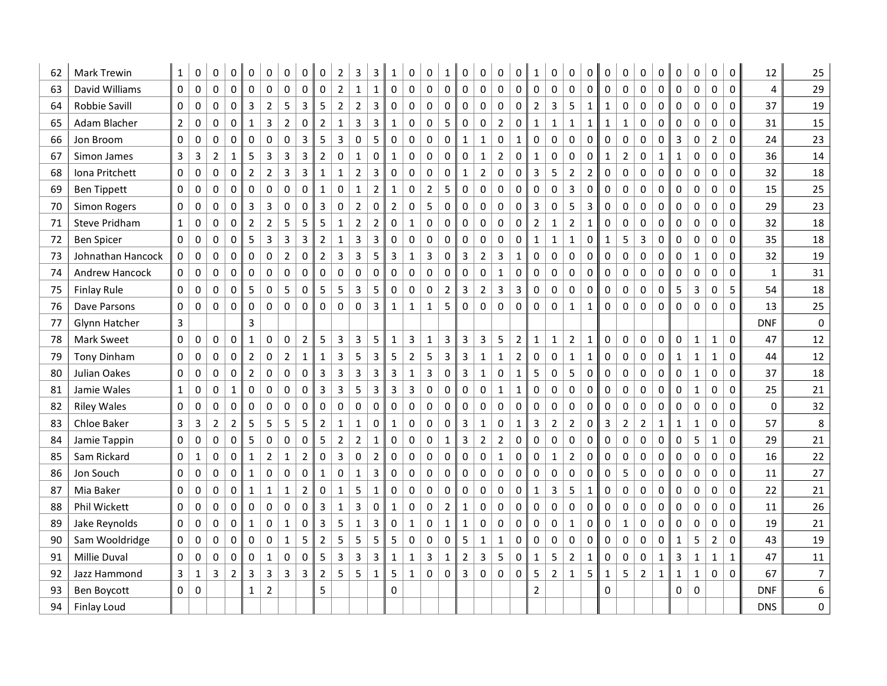| 62 | <b>Mark Trewin</b>  | $\mathbf{1}$   | 0                       | 0              | 0                   | 0                   | 0                       | 0              | 0              | 0                       | 2              | 3              | 3              | 1            | 0              | 0              | 1              | 0                       | 0              | 0                | 0              | 1              | 0              | 0              | 0              | 0            | 0              | 0              | 0           | 0            | 0            | 0                   | 0            | 12          | 25             |
|----|---------------------|----------------|-------------------------|----------------|---------------------|---------------------|-------------------------|----------------|----------------|-------------------------|----------------|----------------|----------------|--------------|----------------|----------------|----------------|-------------------------|----------------|------------------|----------------|----------------|----------------|----------------|----------------|--------------|----------------|----------------|-------------|--------------|--------------|---------------------|--------------|-------------|----------------|
| 63 | David Williams      | $\mathbf 0$    | $\pmb{0}$               | 0              | $\mathsf{O}\xspace$ | $\pmb{0}$           | $\pmb{0}$               | 0              | 0              | $\pmb{0}$               | $\mathbf 2$    | $\mathbf{1}$   | $\mathbf{1}$   | $\pmb{0}$    | 0              | $\pmb{0}$      | $\pmb{0}$      | $\pmb{0}$               | 0              | $\mathbf 0$      | $\pmb{0}$      | 0              | $\pmb{0}$      | $\pmb{0}$      | 0              | $\mathbf 0$  | 0              | 0              | $\pmb{0}$   | $\pmb{0}$    | $\mathsf 0$  | $\pmb{0}$           | $\mathbf 0$  | 4           | 29             |
| 64 | Robbie Savill       | $\mathbf 0$    | $\mathbf 0$             | 0              | 0                   | 3                   | $\overline{2}$          | 5              | 3              | 5                       | $\overline{2}$ | $\overline{2}$ | 3              | 0            | 0              | 0              | $\mathbf 0$    | $\pmb{0}$               | 0              | $\mathbf 0$      | 0              | $\overline{2}$ | 3              | 5              | $\mathbf 1$    | $\mathbf 1$  | 0              | 0              | $\mathbf 0$ | 0            | 0            | $\mathbf 0$         | $\mathbf 0$  | 37          | 19             |
| 65 | Adam Blacher        | $\overline{2}$ | 0                       | 0              | $\Omega$            | $\mathbf{1}$        | $\overline{3}$          | $\overline{2}$ | 0              | $\overline{2}$          | $\mathbf{1}$   | 3              | 3              | $\mathbf{1}$ | 0              | $\mathbf 0$    | 5              | $\pmb{0}$               | 0              | $\overline{2}$   | 0              | $\mathbf{1}$   | $\mathbf{1}$   | $\mathbf 1$    | $\mathbf{1}$   | $\mathbf{1}$ | $\mathbf{1}$   | 0              | $\mathbf 0$ | 0            | 0            | $\mathbf 0$         | $\mathbf 0$  | 31          | 15             |
| 66 | Jon Broom           | $\mathbf 0$    | 0                       | 0              | $\mathbf 0$         | 0                   | 0                       | 0              | 3              | 5                       | 3              | $\pmb{0}$      | 5              | 0            | 0              | $\pmb{0}$      | $\pmb{0}$      | $\mathbf 1$             | $\mathbf{1}$   | $\pmb{0}$        | $\mathbf{1}$   | $\pmb{0}$      | 0              | $\pmb{0}$      | 0              | $\pmb{0}$    | 0              | 0              | $\mathbf 0$ | 3            | 0            | $\overline{2}$      | $\mathbf 0$  | 24          | 23             |
| 67 | Simon James         | $\overline{3}$ | $\overline{\mathbf{3}}$ | $\overline{2}$ | $\mathbf 1$         | 5                   | $\overline{\mathbf{3}}$ | $\mathsf 3$    | 3              | $\mathbf 2$             | 0              | $\mathbf{1}$   | $\pmb{0}$      | $\mathbf 1$  | 0              | $\pmb{0}$      | $\pmb{0}$      | $\pmb{0}$               | $\mathbf{1}$   | $\overline{2}$   | $\pmb{0}$      | $\mathbf{1}$   | $\pmb{0}$      | $\pmb{0}$      | $\pmb{0}$      | $\mathbf 1$  | $\mathbf 2$    | $\pmb{0}$      | $\mathbf 1$ | $\mathbf 1$  | $\mathsf 0$  | $\pmb{0}$           | 0            | 36          | 14             |
| 68 | Iona Pritchett      | $\mathbf 0$    | $\pmb{0}$               | 0              | $\mathbf 0$         | $\overline{2}$      | $\overline{2}$          | 3              | 3              | $\mathbf 1$             | $\mathbf{1}$   | $\overline{2}$ | 3              | 0            | 0              | $\pmb{0}$      | $\pmb{0}$      | $\mathbf{1}$            | $\overline{2}$ | $\pmb{0}$        | 0              | $\overline{3}$ | 5              | $\mathbf 2$    | $\overline{2}$ | $\pmb{0}$    | 0              | 0              | $\pmb{0}$   | 0            | $\mathsf 0$  | $\pmb{0}$           | 0            | 32          | 18             |
| 69 | <b>Ben Tippett</b>  | 0              | 0                       | 0              | $\Omega$            | 0                   | $\mathbf 0$             | 0              | 0              | $\mathbf{1}$            | 0              | $\mathbf{1}$   | $\overline{2}$ | $\mathbf{1}$ | 0              | $\overline{2}$ | 5              | $\mathbf 0$             | 0              | $\boldsymbol{0}$ | 0              | 0              | 0              | 3              | 0              | 0            | 0              | 0              | $\mathbf 0$ | 0            | 0            | $\mathbf 0$         | $\mathbf 0$  | 15          | 25             |
| 70 | <b>Simon Rogers</b> | $\mathbf 0$    | 0                       | 0              | $\mathbf 0$         | 3                   | $\overline{3}$          | 0              | 0              | $\overline{3}$          | 0              | $\overline{2}$ | 0              | $\mathbf 2$  | 0              | 5              | $\mathbf 0$    | $\mathsf{O}\xspace$     | 0              | $\pmb{0}$        | $\pmb{0}$      | 3              | 0              | 5              | 3              | $\pmb{0}$    | 0              | 0              | $\mathbf 0$ | 0            | 0            | $\pmb{0}$           | $\mathbf 0$  | 29          | 23             |
| 71 | Steve Pridham       | $\mathbf{1}$   | $\pmb{0}$               | 0              | $\mathbf 0$         | $\mathbf 2$         | $\overline{2}$          | 5              | 5              | 5                       | $\mathbf 1$    | $\overline{2}$ | $\overline{2}$ | $\pmb{0}$    | $\mathbf{1}$   | $\pmb{0}$      | $\pmb{0}$      | $\pmb{0}$               | 0              | $\mathbf 0$      | $\mathbf 0$    | $\mathbf 2$    | $\mathbf{1}$   | $\overline{2}$ | $\mathbf{1}$   | $\mathbf 0$  | 0              | 0              | $\pmb{0}$   | $\mathbf 0$  | $\mathbf 0$  | $\mathbf 0$         | $\mathbf 0$  | 32          | 18             |
| 72 | <b>Ben Spicer</b>   | $\mathbf 0$    | $\pmb{0}$               | 0              | $\mathbf 0$         | 5                   | $\overline{\mathbf{3}}$ | 3              | 3              | $\mathbf 2$             | $\mathbf{1}$   | 3              | 3              | 0            | 0              | $\pmb{0}$      | $\mathbf 0$    | $\mathsf{O}\xspace$     | 0              | $\boldsymbol{0}$ | 0              | $\mathbf{1}$   | $\mathbf{1}$   | $\mathbf 1$    | 0              | $\mathbf 1$  | 5              | 3              | $\mathbf 0$ | $\pmb{0}$    | 0            | $\pmb{0}$           | $\mathbf 0$  | 35          | 18             |
| 73 | Johnathan Hancock   | 0              | 0                       | 0              | 0                   | 0                   | 0                       | $\overline{2}$ | 0              | $\mathbf 2$             | 3              | 3              | 5              | 3            | $\mathbf 1$    | 3              | 0              | $\mathsf{3}$            | $\overline{2}$ | 3                | $\mathbf{1}$   | 0              | 0              | $\pmb{0}$      | 0              | 0            | 0              | $\pmb{0}$      | $\mathbf 0$ | 0            | $\mathbf{1}$ | $\pmb{0}$           | 0            | 32          | 19             |
| 74 | Andrew Hancock      | 0              | 0                       | 0              | 0                   | 0                   | 0                       | 0              | 0              | $\mathbf 0$             | 0              | 0              | $\mathbf 0$    | 0            | 0              | 0              | 0              | $\mathbf 0$             | 0              | 1                | 0              | 0              | 0              | $\pmb{0}$      | 0              | $\mathbf 0$  | 0              | 0              | $\mathbf 0$ | 0            | 0            | $\pmb{0}$           | 0            | 1           | 31             |
| 75 | <b>Finlay Rule</b>  | $\mathbf 0$    | $\pmb{0}$               | 0              | 0                   | 5                   | $\pmb{0}$               | 5              | $\pmb{0}$      | 5                       | 5              | 3              | 5              | $\pmb{0}$    | 0              | $\pmb{0}$      | $\overline{2}$ | $\overline{\mathbf{3}}$ | $\overline{2}$ | $\overline{3}$   | 3              | 0              | $\pmb{0}$      | $\pmb{0}$      | $\pmb{0}$      | $\pmb{0}$    | 0              | 0              | $\pmb{0}$   | 5            | 3            | $\pmb{0}$           | 5            | 54          | 18             |
| 76 | Dave Parsons        | 0              | 0                       | 0              | $\Omega$            | $\pmb{0}$           | 0                       | 0              | $\pmb{0}$      | 0                       | 0              | 0              | 3              | $\mathbf{1}$ | $\mathbf{1}$   | $\mathbf{1}$   | 5              | $\pmb{0}$               | 0              | $\mathbf 0$      | 0              | $\pmb{0}$      | 0              | $\mathbf{1}$   | $\mathbf{1}$   | 0            | 0              | $\pmb{0}$      | $\mathbf 0$ | 0            | 0            | $\pmb{0}$           | $\mathbf{0}$ | 13          | 25             |
| 77 | Glynn Hatcher       | $\overline{3}$ |                         |                |                     | 3                   |                         |                |                |                         |                |                |                |              |                |                |                |                         |                |                  |                |                |                |                |                |              |                |                |             |              |              |                     |              | <b>DNF</b>  | $\mathbf 0$    |
| 78 | <b>Mark Sweet</b>   | $\mathbf 0$    | 0                       | 0              | $\mathbf 0$         | $\mathbf{1}$        | $\pmb{0}$               | 0              | $\mathbf 2$    | 5                       | 3              | 3              | 5              | $\mathbf 1$  | 3              | $\mathbf{1}$   | 3              | $\overline{3}$          | 3              | 5                | $\overline{2}$ | $\mathbf{1}$   | $\mathbf{1}$   | $\mathbf 2$    | $\mathbf 1$    | $\mathbf 0$  | 0              | 0              | $\mathbf 0$ | 0            | $\mathbf{1}$ | $\mathbf{1}$        | 0            | 47          | 12             |
| 79 | <b>Tony Dinham</b>  | $\mathbf 0$    | $\pmb{0}$               | 0              | 0                   | $\overline{2}$      | $\pmb{0}$               | $\mathbf 2$    | $\mathbf{1}$   | $\mathbf 1$             | 3              | 5              | $\mathbf{3}$   | 5            | $\overline{2}$ | 5              | 3              | $\overline{\mathbf{3}}$ | $\mathbf 1$    | $\mathbf{1}$     | $\overline{2}$ | 0              | $\pmb{0}$      | $\mathbf 1$    | $\mathbf 1$    | $\pmb{0}$    | 0              | 0              | $\pmb{0}$   | $\mathbf 1$  | $\mathbf 1$  | $\mathbf 1$         | $\mathbf 0$  | 44          | 12             |
| 80 | Julian Oakes        | 0              | 0                       | 0              | $\mathbf{0}$        | $\overline{2}$      | 0                       | 0              | 0              | $\overline{\mathbf{3}}$ | 3              | 3              | 3              | 3            | $\mathbf{1}$   | $\mathsf 3$    | $\pmb{0}$      | $\overline{3}$          | $\mathbf{1}$   | $\pmb{0}$        | $\mathbf{1}$   | 5              | 0              | 5              | 0              | $\pmb{0}$    | 0              | 0              | $\mathbf 0$ | 0            | $\mathbf{1}$ | $\pmb{0}$           | $\Omega$     | 37          | 18             |
| 81 | Jamie Wales         | $\mathbf{1}$   | 0                       | 0              | $\mathbf{1}$        | 0                   | 0                       | 0              | 0              | $\overline{\mathbf{3}}$ | 3              | 5              | 3              | 3            | 3              | $\pmb{0}$      | $\mathbf 0$    | $\mathbf 0$             | 0              | $\mathbf{1}$     | $\mathbf{1}$   | 0              | 0              | 0              | 0              | 0            | 0              | 0              | $\mathbf 0$ | 0            | $\mathbf{1}$ | 0                   | $\mathbf{0}$ | 25          | 21             |
| 82 | <b>Riley Wales</b>  | $\mathbf 0$    | 0                       | 0              | 0                   | 0                   | $\pmb{0}$               | 0              | 0              | 0                       | 0              | $\pmb{0}$      | $\pmb{0}$      | 0            | 0              | $\pmb{0}$      | $\mathbf 0$    | $\mathsf{O}\xspace$     | 0              | 0                | $\pmb{0}$      | $\pmb{0}$      | 0              | $\pmb{0}$      | 0              | $\pmb{0}$    | 0              | 0              | $\mathbf 0$ | 0            | 0            | $\mathsf{O}\xspace$ | $\mathbf 0$  | $\mathbf 0$ | 32             |
| 83 | Chloe Baker         | $\overline{3}$ | 3                       | $\overline{2}$ | $\overline{2}$      | 5                   | 5                       | 5              | 5              | $\mathbf 2$             | $\mathbf 1$    | $\mathbf 1$    | $\pmb{0}$      | $\mathbf 1$  | $\pmb{0}$      | $\pmb{0}$      | $\pmb{0}$      | $\overline{\mathbf{3}}$ | $\mathbf 1$    | $\boldsymbol{0}$ | $\mathbf{1}$   | 3              | $\overline{2}$ | $\mathbf 2$    | 0              | 3            | $\overline{2}$ | $\overline{2}$ | $\mathbf 1$ | $\mathbf 1$  | $\mathbf 1$  | $\pmb{0}$           | 0            | 57          | 8              |
| 84 | Jamie Tappin        | 0              | $\pmb{0}$               | 0              | $\mathbf{0}$        | 5                   | 0                       | 0              | $\pmb{0}$      | 5                       | $\overline{2}$ | $\overline{2}$ | $\mathbf 1$    | $\pmb{0}$    | 0              | $\pmb{0}$      | $\mathbf{1}$   | $\overline{3}$          | $\overline{2}$ | $\overline{2}$   | 0              | $\pmb{0}$      | 0              | 0              | 0              | $\mathbf 0$  | 0              | 0              | $\mathbf 0$ | 0            | 5            | $\mathbf{1}$        | $\Omega$     | 29          | 21             |
| 85 | Sam Rickard         | 0              | $\mathbf{1}$            | 0              | $\Omega$            | $\mathbf{1}$        | $\overline{2}$          | $\mathbf{1}$   | $\overline{2}$ | 0                       | 3              | 0              | $\overline{2}$ | $\mathbf 0$  | 0              | $\mathbf 0$    | $\mathbf 0$    | $\Omega$                | 0              | $\mathbf{1}$     | 0              | 0              | $\mathbf{1}$   | $\overline{2}$ | 0              | 0            | 0              | 0              | $\mathbf 0$ | 0            | 0            | $\mathbf 0$         | $\mathbf{0}$ | 16          | 22             |
| 86 | Jon Souch           | 0              | 0                       | 0              | $\mathbf 0$         | $\mathbf{1}$        | $\pmb{0}$               | 0              | 0              | $\mathbf{1}$            | 0              | $\mathbf{1}$   | $\mathbf{3}$   | 0            | 0              | $\mathsf 0$    | 0              | $\mathsf{O}\xspace$     | 0              | 0                | 0              | 0              | 0              | $\pmb{0}$      | 0              | 0            | 5              | 0              | $\mathbf 0$ | 0            | 0            | $\pmb{0}$           | $\mathbf 0$  | 11          | 27             |
| 87 | Mia Baker           | $\mathbf 0$    | $\mathbf 0$             | $\mathbf 0$    | 0                   | $\mathbf 1$         | $\mathbf 1$             | $\mathbf 1$    | $\overline{2}$ | 0                       | $\mathbf{1}$   | 5              | $\mathbf 1$    | $\pmb{0}$    | $\mathbf 0$    | $\pmb{0}$      | $\pmb{0}$      | $\pmb{0}$               | 0              | $\mathbf 0$      | $\mathbf 0$    | $\mathbf 1$    | 3              | 5              | $\mathbf 1$    | $\mathbf 0$  | $\mathsf 0$    | $\mathsf 0$    | $\mathbf 0$ | 0            | $\mathbf 0$  | $\mathbf 0$         | $\mathbf 0$  | 22          | 21             |
| 88 | Phil Wickett        | $\mathbf 0$    | 0                       | $\mathbf 0$    | $\mathbf 0$         | $\mathsf{O}\xspace$ | $\mathbf 0$             | 0              | $\pmb{0}$      | $\overline{3}$          | $\mathbf{1}$   | 3              | $\mathsf 0$    | $\mathbf 1$  | 0              | $\mathsf 0$    | $\overline{2}$ | $\mathbf{1}$            | 0              | $\pmb{0}$        | 0              | $\pmb{0}$      | $\pmb{0}$      | 0              | 0              | $\mathbf 0$  | 0              | $\pmb{0}$      | $\pmb{0}$   | 0            | 0            | $\pmb{0}$           | $\mathbf 0$  | 11          | 26             |
| 89 | Jake Reynolds       | $\mathbf 0$    | 0                       | 0              | $\mathbf 0$         | $\mathbf{1}$        | 0                       | $\mathbf{1}$   | 0              | $\overline{3}$          | 5              | $\mathbf 1$    | 3              | 0            | $\mathbf 1$    | $\mathbf 0$    | $\mathbf{1}$   | $\mathbf{1}$            | 0              | 0                | 0              | 0              | 0              | $\mathbf 1$    | 0              | $\pmb{0}$    | $\mathbf 1$    | 0              | $\mathbf 0$ | 0            | 0            | $\pmb{0}$           | $\mathbf 0$  | 19          | 21             |
| 90 | Sam Wooldridge      | $\mathbf 0$    | 0                       | 0              | 0                   | 0                   | 0                       | $\mathbf{1}$   | 5              | $\overline{2}$          | 5              | 5              | 5              | 5            | 0              | $\pmb{0}$      | $\pmb{0}$      | 5                       | $\mathbf{1}$   | 1                | 0              | 0              | 0              | $\pmb{0}$      | 0              | $\pmb{0}$    | 0              | 0              | $\mathbf 0$ | $\mathbf{1}$ | 5            | $\overline{2}$      | 0            | 43          | 19             |
| 91 | <b>Millie Duval</b> | $\mathbf 0$    | $\pmb{0}$               | $\pmb{0}$      | $\mathbf 0$         | $\pmb{0}$           | $\mathbf 1$             | $\pmb{0}$      | $\pmb{0}$      | 5                       | 3              | 3              | $\mathbf{3}$   | $\mathbf 1$  | $\mathbf{1}$   | $\overline{3}$ | $\mathbf{1}$   | $\overline{2}$          | 3              | 5                | $\pmb{0}$      | $\mathbf 1$    | 5              | $\overline{2}$ | $\mathbf 1$    | $\pmb{0}$    | 0              | $\pmb{0}$      | $\mathbf 1$ | $\mathsf 3$  | $\mathbf{1}$ | $\mathbf 1$         | $\mathbf{1}$ | 47          | 11             |
| 92 | Jazz Hammond        | $\mathsf{3}$   | $\mathbf{1}$            | 3              | $\overline{2}$      | 3                   | $\overline{3}$          | 3              | 3              | $\overline{2}$          | 5              | 5              | $\mathbf{1}$   | 5            | $\mathbf{1}$   | $\mathsf 0$    | 0              | $\overline{3}$          | 0              | 0                | 0              | 5              | $\overline{2}$ | $\mathbf 1$    | 5              | $\mathbf{1}$ | 5              | $\mathbf 2$    | $\mathbf 1$ | $\mathbf 1$  | $\mathbf{1}$ | $\pmb{0}$           | $\mathbf 0$  | 67          | $\overline{7}$ |
| 93 | Ben Boycott         | $\mathbf{0}$   | $\Omega$                |                |                     | $\mathbf{1}$        | $\overline{2}$          |                |                | 5                       |                |                |                | $\Omega$     |                |                |                |                         |                |                  |                | $\mathbf 2$    |                |                |                | $\Omega$     |                |                |             | $\Omega$     | 0            |                     |              | <b>DNF</b>  | 6              |
| 94 | <b>Finlay Loud</b>  |                |                         |                |                     |                     |                         |                |                |                         |                |                |                |              |                |                |                |                         |                |                  |                |                |                |                |                |              |                |                |             |              |              |                     |              | <b>DNS</b>  | 0              |